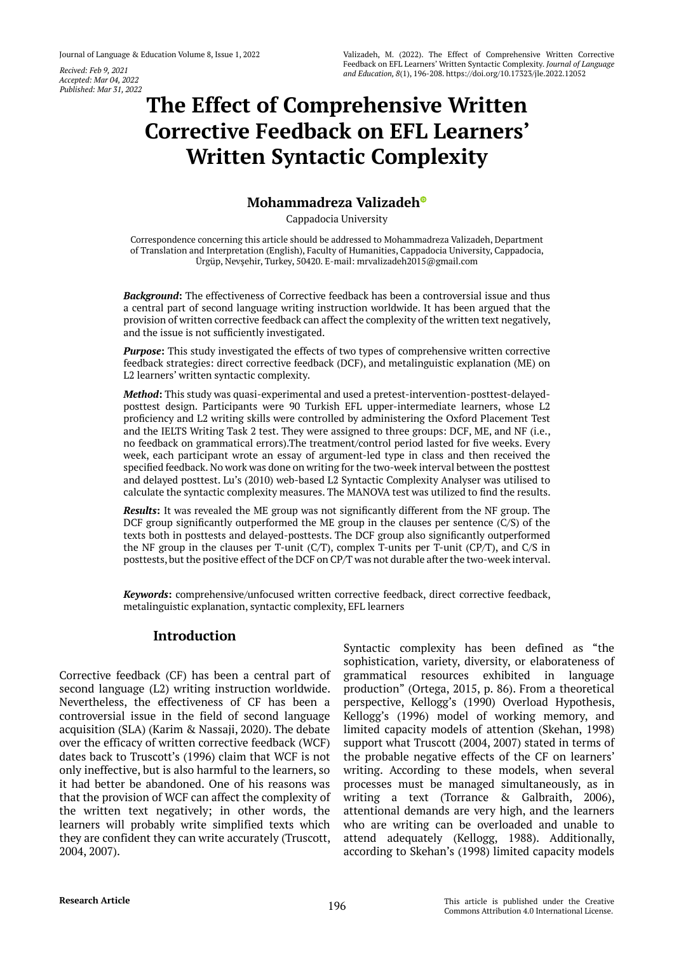*Accepted: Mar 04, 2022 Published: Mar 31, 2022*

# **The Effect of Comprehensive Written [Corrective Feedback on EFL Learners'](https://orcid.org/0000-0002-4312-9731)  Written Syntactic Complexity**

## **Mohammadreza Valizadeh**

Cappadocia University

Correspondence concerning this article should be addressed to Mohammadreza Valizadeh, Department of Translation and Interpretation (English), Faculty of Humanities, Cappadocia University, Cappadocia, Ürgüp, Nevşehir, Turkey, 50420. E-mail: mrvalizadeh2015@gmail.com

*Background***:** The effectiveness of Corrective feedback has been a controversial issue and thus a central part of second language writing instruction worldwide. It has been argued that the provision of written corrective feedback can affect the complexity of the written text negatively, and the issue is not sufficiently investigated.

**Purpose:** This study investigated the effects of two types of comprehensive written corrective feedback strategies: direct corrective feedback (DCF), and metalinguistic explanation (ME) on L2 learners' written syntactic complexity.

*Method***:** This study was quasi-experimental and used a pretest-intervention-posttest-delayedposttest design. Participants were 90 Turkish EFL upper-intermediate learners, whose L2 proficiency and L2 writing skills were controlled by administering the Oxford Placement Test and the IELTS Writing Task 2 test. They were assigned to three groups: DCF, ME, and NF (i.e., no feedback on grammatical errors).The treatment/control period lasted for five weeks. Every week, each participant wrote an essay of argument-led type in class and then received the specified feedback. No work was done on writing for the two-week interval between the posttest and delayed posttest. Lu's (2010) web-based L2 Syntactic Complexity Analyser was utilised to calculate the syntactic complexity measures. The MANOVA test was utilized to find the results.

*Results***:** It was revealed the ME group was not significantly different from the NF group. The DCF group significantly outperformed the ME group in the clauses per sentence (C/S) of the texts both in posttests and delayed-posttests. The DCF group also significantly outperformed the NF group in the clauses per T-unit (C/T), complex T-units per T-unit (CP/T), and C/S in posttests, but the positive effect of the DCF on CP/T was not durable after the two-week interval.

*Keywords***:** comprehensive/unfocused written corrective feedback, direct corrective feedback, metalinguistic explanation, syntactic complexity, EFL learners

# **Introduction**

Corrective feedback (CF) has been a central part of second language (L2) writing instruction worldwide. Nevertheless, the effectiveness of CF has been a controversial issue in the field of second language acquisition (SLA) (Karim & Nassaji, 2020). The debate over the efficacy of written corrective feedback (WCF) dates back to Truscott's (1996) claim that WCF is not only ineffective, but is also harmful to the learners, so it had better be abandoned. One of his reasons was that the provision of WCF can affect the complexity of the written text negatively; in other words, the learners will probably write simplified texts which they are confident they can write accurately (Truscott, 2004, 2007).

Syntactic complexity has been defined as "the sophistication, variety, diversity, or elaborateness of grammatical resources exhibited in language production" (Ortega, 2015, p. 86). From a theoretical perspective, Kellogg's (1990) Overload Hypothesis, Kellogg's (1996) model of working memory, and limited capacity models of attention (Skehan, 1998) support what Truscott (2004, 2007) stated in terms of the probable negative effects of the CF on learners' writing. According to these models, when several processes must be managed simultaneously, as in writing a text (Torrance & Galbraith, 2006), attentional demands are very high, and the learners who are writing can be overloaded and unable to attend adequately (Kellogg, 1988). Additionally, according to Skehan's (1998) limited capacity models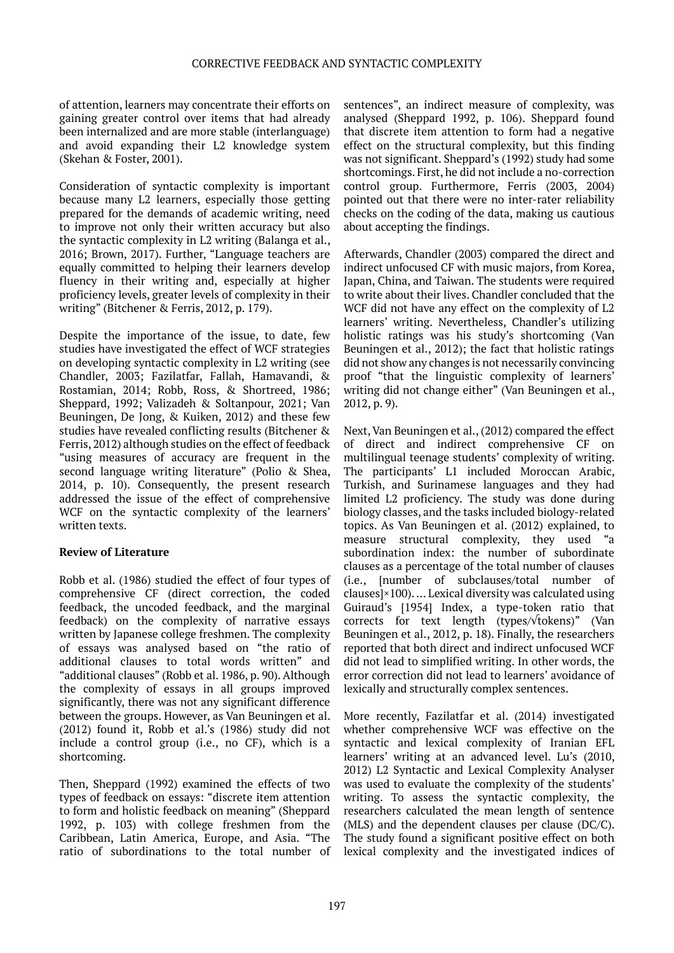of attention, learners may concentrate their efforts on gaining greater control over items that had already been internalized and are more stable (interlanguage) and avoid expanding their L2 knowledge system (Skehan & Foster, 2001).

Consideration of syntactic complexity is important because many L2 learners, especially those getting prepared for the demands of academic writing, need to improve not only their written accuracy but also the syntactic complexity in L2 writing (Balanga et al., 2016; Brown, 2017). Further, "Language teachers are equally committed to helping their learners develop fluency in their writing and, especially at higher proficiency levels, greater levels of complexity in their writing" (Bitchener & Ferris, 2012, p. 179).

Despite the importance of the issue, to date, few studies have investigated the effect of WCF strategies on developing syntactic complexity in L2 writing (see Chandler, 2003; Fazilatfar, Fallah, Hamavandi, & Rostamian, 2014; Robb, Ross, & Shortreed, 1986; Sheppard, 1992; Valizadeh & Soltanpour, 2021; Van Beuningen, De Jong, & Kuiken, 2012) and these few studies have revealed conflicting results (Bitchener & Ferris, 2012) although studies on the effect of feedback "using measures of accuracy are frequent in the second language writing literature" (Polio & Shea, 2014, p. 10). Consequently, the present research addressed the issue of the effect of comprehensive WCF on the syntactic complexity of the learners' written texts.

## **Review of Literature**

Robb et al. (1986) studied the effect of four types of comprehensive CF (direct correction, the coded feedback, the uncoded feedback, and the marginal feedback) on the complexity of narrative essays written by Japanese college freshmen. The complexity of essays was analysed based on "the ratio of additional clauses to total words written" and "additional clauses" (Robb et al. 1986, p. 90). Although the complexity of essays in all groups improved significantly, there was not any significant difference between the groups. However, as Van Beuningen et al. (2012) found it, Robb et al.'s (1986) study did not include a control group (i.e., no CF), which is a shortcoming.

Then, Sheppard (1992) examined the effects of two types of feedback on essays: "discrete item attention to form and holistic feedback on meaning" (Sheppard 1992, p. 103) with college freshmen from the Caribbean, Latin America, Europe, and Asia. "The ratio of subordinations to the total number of

sentences", an indirect measure of complexity, was analysed (Sheppard 1992, p. 106). Sheppard found that discrete item attention to form had a negative effect on the structural complexity, but this finding was not significant. Sheppard's (1992) study had some shortcomings. First, he did not include a no-correction control group. Furthermore, Ferris (2003, 2004) pointed out that there were no inter-rater reliability checks on the coding of the data, making us cautious about accepting the findings.

Afterwards, Chandler (2003) compared the direct and indirect unfocused CF with music majors, from Korea, Japan, China, and Taiwan. The students were required to write about their lives. Chandler concluded that the WCF did not have any effect on the complexity of L2 learners' writing. Nevertheless, Chandler's utilizing holistic ratings was his study's shortcoming (Van Beuningen et al., 2012); the fact that holistic ratings did not show any changes is not necessarily convincing proof "that the linguistic complexity of learners' writing did not change either" (Van Beuningen et al., 2012, p. 9).

Next, Van Beuningen et al., (2012) compared the effect of direct and indirect comprehensive CF on multilingual teenage students' complexity of writing. The participants' L1 included Moroccan Arabic, Turkish, and Surinamese languages and they had limited L2 proficiency. The study was done during biology classes, and the tasks included biology-related topics. As Van Beuningen et al. (2012) explained, to measure structural complexity, they used "a subordination index: the number of subordinate clauses as a percentage of the total number of clauses (i.e., [number of subclauses/total number of clauses]×100). … Lexical diversity was calculated using Guiraud's [1954] Index, a type-token ratio that corrects for text length (types/√tokens)" (Van Beuningen et al., 2012, p. 18). Finally, the researchers reported that both direct and indirect unfocused WCF did not lead to simplified writing. In other words, the error correction did not lead to learners' avoidance of lexically and structurally complex sentences.

More recently, Fazilatfar et al. (2014) investigated whether comprehensive WCF was effective on the syntactic and lexical complexity of Iranian EFL learners' writing at an advanced level. Lu's (2010, 2012) L2 Syntactic and Lexical Complexity Analyser was used to evaluate the complexity of the students' writing. To assess the syntactic complexity, the researchers calculated the mean length of sentence (MLS) and the dependent clauses per clause (DC/C). The study found a significant positive effect on both lexical complexity and the investigated indices of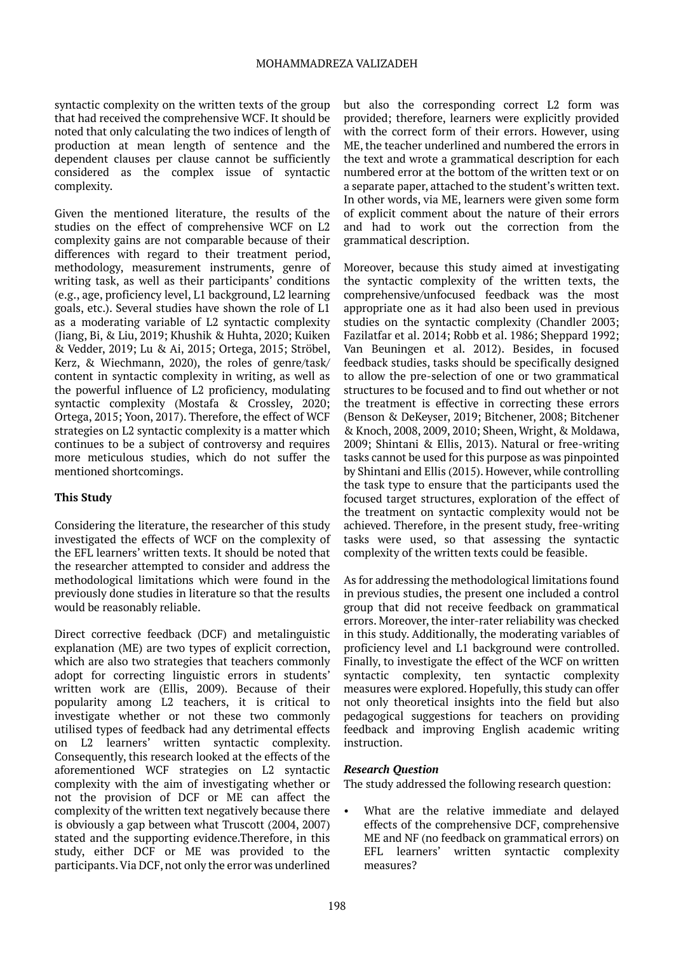syntactic complexity on the written texts of the group that had received the comprehensive WCF. It should be noted that only calculating the two indices of length of production at mean length of sentence and the dependent clauses per clause cannot be sufficiently considered as the complex issue of syntactic complexity.

Given the mentioned literature, the results of the studies on the effect of comprehensive WCF on L2 complexity gains are not comparable because of their differences with regard to their treatment period, methodology, measurement instruments, genre of writing task, as well as their participants' conditions (e.g., age, proficiency level, L1 background, L2 learning goals, etc.). Several studies have shown the role of L1 as a moderating variable of L2 syntactic complexity (Jiang, Bi, & Liu, 2019; Khushik & Huhta, 2020; Kuiken & Vedder, 2019; Lu & Ai, 2015; Ortega, 2015; Ströbel, Kerz, & Wiechmann, 2020), the roles of genre/task/ content in syntactic complexity in writing, as well as the powerful influence of L2 proficiency, modulating syntactic complexity (Mostafa & Crossley, 2020; Ortega, 2015; Yoon, 2017). Therefore, the effect of WCF strategies on L2 syntactic complexity is a matter which continues to be a subject of controversy and requires more meticulous studies, which do not suffer the mentioned shortcomings.

## **This Study**

Considering the literature, the researcher of this study investigated the effects of WCF on the complexity of the EFL learners' written texts. It should be noted that the researcher attempted to consider and address the methodological limitations which were found in the previously done studies in literature so that the results would be reasonably reliable.

Direct corrective feedback (DCF) and metalinguistic explanation (ME) are two types of explicit correction, which are also two strategies that teachers commonly adopt for correcting linguistic errors in students' written work are (Ellis, 2009). Because of their popularity among L2 teachers, it is critical to investigate whether or not these two commonly utilised types of feedback had any detrimental effects on L2 learners' written syntactic complexity. Consequently, this research looked at the effects of the aforementioned WCF strategies on L2 syntactic complexity with the aim of investigating whether or not the provision of DCF or ME can affect the complexity of the written text negatively because there is obviously a gap between what Truscott (2004, 2007) stated and the supporting evidence.Therefore, in this study, either DCF or ME was provided to the participants. Via DCF, not only the error was underlined

but also the corresponding correct L2 form was provided; therefore, learners were explicitly provided with the correct form of their errors. However, using ME, the teacher underlined and numbered the errors in the text and wrote a grammatical description for each numbered error at the bottom of the written text or on a separate paper, attached to the student's written text. In other words, via ME, learners were given some form of explicit comment about the nature of their errors and had to work out the correction from the grammatical description.

Moreover, because this study aimed at investigating the syntactic complexity of the written texts, the comprehensive/unfocused feedback was the most appropriate one as it had also been used in previous studies on the syntactic complexity (Chandler 2003; Fazilatfar et al. 2014; Robb et al. 1986; Sheppard 1992; Van Beuningen et al. 2012). Besides, in focused feedback studies, tasks should be specifically designed to allow the pre-selection of one or two grammatical structures to be focused and to find out whether or not the treatment is effective in correcting these errors (Benson & DeKeyser, 2019; Bitchener, 2008; Bitchener & Knoch, 2008, 2009, 2010; Sheen, Wright, & Moldawa, 2009; Shintani & Ellis, 2013). Natural or free-writing tasks cannot be used for this purpose as was pinpointed by Shintani and Ellis (2015). However, while controlling the task type to ensure that the participants used the focused target structures, exploration of the effect of the treatment on syntactic complexity would not be achieved. Therefore, in the present study, free-writing tasks were used, so that assessing the syntactic complexity of the written texts could be feasible.

As for addressing the methodological limitations found in previous studies, the present one included a control group that did not receive feedback on grammatical errors. Moreover, the inter-rater reliability was checked in this study. Additionally, the moderating variables of proficiency level and L1 background were controlled. Finally, to investigate the effect of the WCF on written syntactic complexity, ten syntactic complexity measures were explored. Hopefully, this study can offer not only theoretical insights into the field but also pedagogical suggestions for teachers on providing feedback and improving English academic writing instruction.

## *Research Question*

The study addressed the following research question:

What are the relative immediate and delayed effects of the comprehensive DCF, comprehensive ME and NF (no feedback on grammatical errors) on EFL learners' written syntactic complexity measures?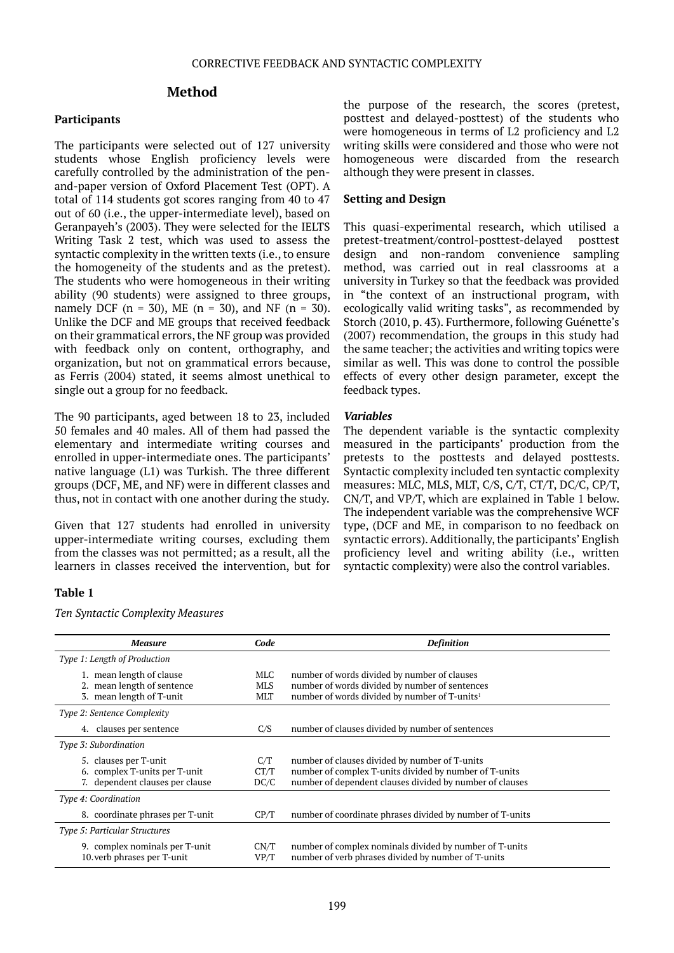#### **Method**

#### **Participants**

The participants were selected out of 127 university students whose English proficiency levels were carefully controlled by the administration of the penand-paper version of Oxford Placement Test (OPT). A total of 114 students got scores ranging from 40 to 47 out of 60 (i.e., the upper-intermediate level), based on Geranpayeh's (2003). They were selected for the IELTS Writing Task 2 test, which was used to assess the syntactic complexity in the written texts (i.e., to ensure the homogeneity of the students and as the pretest). The students who were homogeneous in their writing ability (90 students) were assigned to three groups, namely DCF ( $n = 30$ ), ME ( $n = 30$ ), and NF ( $n = 30$ ). Unlike the DCF and ME groups that received feedback on their grammatical errors, the NF group was provided with feedback only on content, orthography, and organization, but not on grammatical errors because, as Ferris (2004) stated, it seems almost unethical to single out a group for no feedback.

The 90 participants, aged between 18 to 23, included 50 females and 40 males. All of them had passed the elementary and intermediate writing courses and enrolled in upper-intermediate ones. The participants' native language (L1) was Turkish. The three different groups (DCF, ME, and NF) were in different classes and thus, not in contact with one another during the study.

Given that 127 students had enrolled in university upper-intermediate writing courses, excluding them from the classes was not permitted; as a result, all the learners in classes received the intervention, but for

#### **Table 1**

*Ten Syntactic Complexity Measures*

the purpose of the research, the scores (pretest, posttest and delayed-posttest) of the students who were homogeneous in terms of L2 proficiency and L2 writing skills were considered and those who were not homogeneous were discarded from the research although they were present in classes.

#### **Setting and Design**

This quasi-experimental research, which utilised a pretest-treatment/control-posttest-delayed posttest design and non-random convenience sampling method, was carried out in real classrooms at a university in Turkey so that the feedback was provided in "the context of an instructional program, with ecologically valid writing tasks", as recommended by Storch (2010, p. 43). Furthermore, following Guénette's (2007) recommendation, the groups in this study had the same teacher; the activities and writing topics were similar as well. This was done to control the possible effects of every other design parameter, except the feedback types.

#### *Variables*

The dependent variable is the syntactic complexity measured in the participants' production from the pretests to the posttests and delayed posttests. Syntactic complexity included ten syntactic complexity measures: MLC, MLS, MLT, C/S, C/T, CT/T, DC/C, CP/T, CN/T, and VP/T, which are explained in Table 1 below. The independent variable was the comprehensive WCF type, (DCF and ME, in comparison to no feedback on syntactic errors). Additionally, the participants' English proficiency level and writing ability (i.e., written syntactic complexity) were also the control variables.

| <b>Measure</b>                                                                            | Code                     | <b>Definition</b>                                                                                                                                                    |  |
|-------------------------------------------------------------------------------------------|--------------------------|----------------------------------------------------------------------------------------------------------------------------------------------------------------------|--|
| Type 1: Length of Production                                                              |                          |                                                                                                                                                                      |  |
| 1. mean length of clause<br>2. mean length of sentence<br>3. mean length of T-unit        | MLC<br><b>MLS</b><br>MLT | number of words divided by number of clauses<br>number of words divided by number of sentences<br>number of words divided by number of T-units <sup>1</sup>          |  |
| Type 2: Sentence Complexity                                                               |                          |                                                                                                                                                                      |  |
| 4. clauses per sentence                                                                   | C/S                      | number of clauses divided by number of sentences                                                                                                                     |  |
| Type 3: Subordination                                                                     |                          |                                                                                                                                                                      |  |
| 5. clauses per T-unit<br>6. complex T-units per T-unit<br>7. dependent clauses per clause | C/T<br>CT/T<br>DC/C      | number of clauses divided by number of T-units<br>number of complex T-units divided by number of T-units<br>number of dependent clauses divided by number of clauses |  |
| Type 4: Coordination                                                                      |                          |                                                                                                                                                                      |  |
| 8. coordinate phrases per T-unit                                                          | CP/T                     | number of coordinate phrases divided by number of T-units                                                                                                            |  |
| Type 5: Particular Structures                                                             |                          |                                                                                                                                                                      |  |
| 9. complex nominals per T-unit<br>10. verb phrases per T-unit                             | CN/T<br>VP/T             | number of complex nominals divided by number of T-units<br>number of verb phrases divided by number of T-units                                                       |  |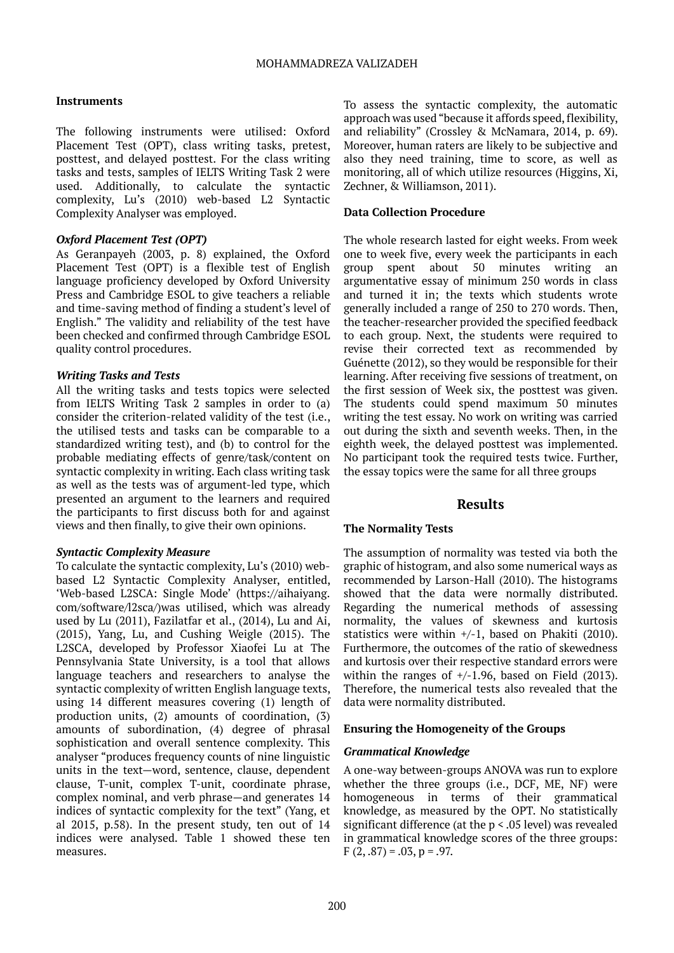## **Instruments**

The following instruments were utilised: Oxford Placement Test (OPT), class writing tasks, pretest, posttest, and delayed posttest. For the class writing tasks and tests, samples of IELTS Writing Task 2 were used. Additionally, to calculate the syntactic complexity, Lu's (2010) web-based L2 Syntactic Complexity Analyser was employed.

#### *Oxford Placement Test (OPT)*

As Geranpayeh (2003, p. 8) explained, the Oxford Placement Test (OPT) is a flexible test of English language proficiency developed by Oxford University Press and Cambridge ESOL to give teachers a reliable and time-saving method of finding a student's level of English." The validity and reliability of the test have been checked and confirmed through Cambridge ESOL quality control procedures.

#### *Writing Tasks and Tests*

All the writing tasks and tests topics were selected from IELTS Writing Task 2 samples in order to (a) consider the criterion-related validity of the test (i.e., the utilised tests and tasks can be comparable to a standardized writing test), and (b) to control for the probable mediating effects of genre/task/content on syntactic complexity in writing. Each class writing task as well as the tests was of argument-led type, which presented an argument to the learners and required the participants to first discuss both for and against views and then finally, to give their own opinions.

#### *Syntactic Complexity Measure*

To calculate the syntactic complexity, Lu's (2010) webbased L2 Syntactic Complexity Analyser, entitled, 'Web-based L2SCA: Single Mode' [\(https://aihaiyang.](https://aihaiyang.com/software/l2sca/) [com/software/l2sca/](https://aihaiyang.com/software/l2sca/))was utilised, which was already used by Lu (2011), Fazilatfar et al., (2014), Lu and Ai, (2015), Yang, Lu, and Cushing Weigle (2015). The L2SCA, developed by Professor Xiaofei Lu at The Pennsylvania State University, is a tool that allows language teachers and researchers to analyse the syntactic complexity of written English language texts, using 14 different measures covering (1) length of production units, (2) amounts of coordination, (3) amounts of subordination, (4) degree of phrasal sophistication and overall sentence complexity. This analyser "produces frequency counts of nine linguistic units in the text—word, sentence, clause, dependent clause, T-unit, complex T-unit, coordinate phrase, complex nominal, and verb phrase—and generates 14 indices of syntactic complexity for the text" (Yang, et al 2015, p.58). In the present study, ten out of 14 indices were analysed. Table 1 showed these ten measures.

To assess the syntactic complexity, the automatic approach was used "because it affords speed, flexibility, and reliability" (Crossley & McNamara, 2014, p. 69). Moreover, human raters are likely to be subjective and also they need training, time to score, as well as monitoring, all of which utilize resources (Higgins, Xi, Zechner, & Williamson, 2011).

#### **Data Collection Procedure**

The whole research lasted for eight weeks. From week one to week five, every week the participants in each group spent about 50 minutes writing an argumentative essay of minimum 250 words in class and turned it in; the texts which students wrote generally included a range of 250 to 270 words. Then, the teacher-researcher provided the specified feedback to each group. Next, the students were required to revise their corrected text as recommended by Guénette (2012), so they would be responsible for their learning. After receiving five sessions of treatment, on the first session of Week six, the posttest was given. The students could spend maximum 50 minutes writing the test essay. No work on writing was carried out during the sixth and seventh weeks. Then, in the eighth week, the delayed posttest was implemented. No participant took the required tests twice. Further, the essay topics were the same for all three groups

## **Results**

## **The Normality Tests**

The assumption of normality was tested via both the graphic of histogram, and also some numerical ways as recommended by Larson-Hall (2010). The histograms showed that the data were normally distributed. Regarding the numerical methods of assessing normality, the values of skewness and kurtosis statistics were within  $+/1$ , based on Phakiti (2010). Furthermore, the outcomes of the ratio of skewedness and kurtosis over their respective standard errors were within the ranges of  $+/-1.96$ , based on Field (2013). Therefore, the numerical tests also revealed that the data were normality distributed.

## **Ensuring the Homogeneity of the Groups**

## *Grammatical Knowledge*

A one-way between-groups ANOVA was run to explore whether the three groups (i.e., DCF, ME, NF) were homogeneous in terms of their grammatical knowledge, as measured by the OPT. No statistically significant difference (at the p < .05 level) was revealed in grammatical knowledge scores of the three groups:  $F(2, .87) = .03, p = .97.$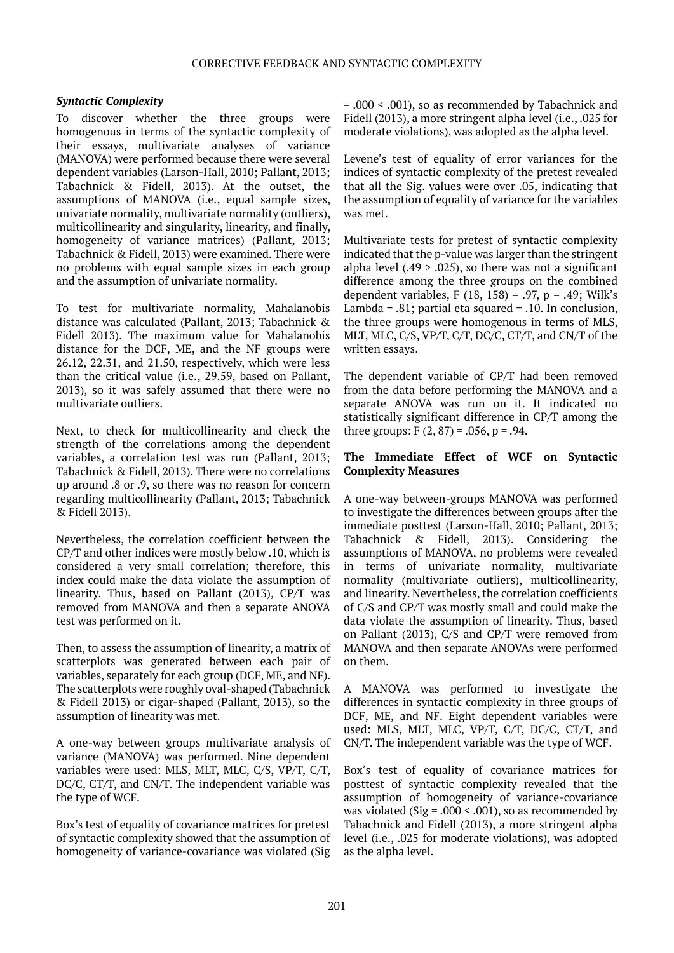## *Syntactic Complexity*

To discover whether the three groups were homogenous in terms of the syntactic complexity of their essays, multivariate analyses of variance (MANOVA) were performed because there were several dependent variables (Larson-Hall, 2010; Pallant, 2013; Tabachnick & Fidell, 2013). At the outset, the assumptions of MANOVA (i.e., equal sample sizes, univariate normality, multivariate normality (outliers), multicollinearity and singularity, linearity, and finally, homogeneity of variance matrices) (Pallant, 2013; Tabachnick & Fidell, 2013) were examined. There were no problems with equal sample sizes in each group and the assumption of univariate normality.

To test for multivariate normality, Mahalanobis distance was calculated (Pallant, 2013; Tabachnick & Fidell 2013). The maximum value for Mahalanobis distance for the DCF, ME, and the NF groups were 26.12, 22.31, and 21.50, respectively, which were less than the critical value (i.e., 29.59, based on Pallant, 2013), so it was safely assumed that there were no multivariate outliers.

Next, to check for multicollinearity and check the strength of the correlations among the dependent variables, a correlation test was run (Pallant, 2013; Tabachnick & Fidell, 2013). There were no correlations up around .8 or .9, so there was no reason for concern regarding multicollinearity (Pallant, 2013; Tabachnick & Fidell 2013).

Nevertheless, the correlation coefficient between the CP/T and other indices were mostly below .10, which is considered a very small correlation; therefore, this index could make the data violate the assumption of linearity. Thus, based on Pallant (2013), CP/T was removed from MANOVA and then a separate ANOVA test was performed on it.

Then, to assess the assumption of linearity, a matrix of scatterplots was generated between each pair of variables, separately for each group (DCF, ME, and NF). The scatterplots were roughly oval-shaped (Tabachnick & Fidell 2013) or cigar-shaped (Pallant, 2013), so the assumption of linearity was met.

A one-way between groups multivariate analysis of variance (MANOVA) was performed. Nine dependent variables were used: MLS, MLT, MLC, C/S, VP/T, C/T, DC/C, CT/T, and CN/T. The independent variable was the type of WCF.

Box's test of equality of covariance matrices for pretest of syntactic complexity showed that the assumption of homogeneity of variance-covariance was violated (Sig

= .000 < .001), so as recommended by Tabachnick and Fidell (2013), a more stringent alpha level (i.e., .025 for moderate violations), was adopted as the alpha level.

Levene's test of equality of error variances for the indices of syntactic complexity of the pretest revealed that all the Sig. values were over .05, indicating that the assumption of equality of variance for the variables was met.

Multivariate tests for pretest of syntactic complexity indicated that the p-value was larger than the stringent alpha level  $(.49 > .025)$ , so there was not a significant difference among the three groups on the combined dependent variables, F  $(18, 158) = .97$ , p = .49; Wilk's Lambda = .81; partial eta squared = .10. In conclusion, the three groups were homogenous in terms of MLS, MLT, MLC, C/S, VP/T, C/T, DC/C, CT/T, and CN/T of the written essays.

The dependent variable of CP/T had been removed from the data before performing the MANOVA and a separate ANOVA was run on it. It indicated no statistically significant difference in CP/T among the three groups:  $F(2, 87) = .056$ ,  $p = .94$ .

#### **The Immediate Effect of WCF on Syntactic Complexity Measures**

A one-way between-groups MANOVA was performed to investigate the differences between groups after the immediate posttest (Larson-Hall, 2010; Pallant, 2013; Tabachnick & Fidell, 2013). Considering the assumptions of MANOVA, no problems were revealed in terms of univariate normality, multivariate normality (multivariate outliers), multicollinearity, and linearity. Nevertheless, the correlation coefficients of C/S and CP/T was mostly small and could make the data violate the assumption of linearity. Thus, based on Pallant (2013), C/S and CP/T were removed from MANOVA and then separate ANOVAs were performed on them.

A MANOVA was performed to investigate the differences in syntactic complexity in three groups of DCF, ME, and NF. Eight dependent variables were used: MLS, MLT, MLC, VP/T, C/T, DC/C, CT/T, and CN/T. The independent variable was the type of WCF.

Box's test of equality of covariance matrices for posttest of syntactic complexity revealed that the assumption of homogeneity of variance-covariance was violated (Sig =  $.000 \le 0.001$ ), so as recommended by Tabachnick and Fidell (2013), a more stringent alpha level (i.e., .025 for moderate violations), was adopted as the alpha level.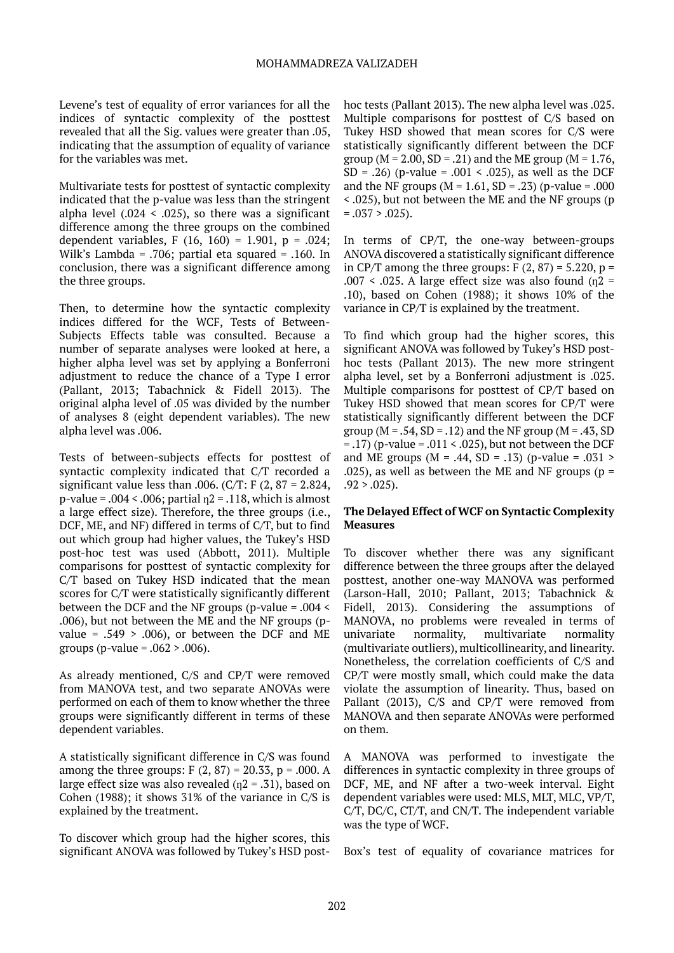Levene's test of equality of error variances for all the indices of syntactic complexity of the posttest revealed that all the Sig. values were greater than .05, indicating that the assumption of equality of variance for the variables was met.

Multivariate tests for posttest of syntactic complexity indicated that the p-value was less than the stringent alpha level  $(.024 \le .025)$ , so there was a significant difference among the three groups on the combined dependent variables, F (16, 160) = 1.901, p = .024; Wilk's Lambda = .706; partial eta squared = .160. In conclusion, there was a significant difference among the three groups.

Then, to determine how the syntactic complexity indices differed for the WCF, Tests of Between-Subjects Effects table was consulted. Because a number of separate analyses were looked at here, a higher alpha level was set by applying a Bonferroni adjustment to reduce the chance of a Type I error (Pallant, 2013; Tabachnick & Fidell 2013). The original alpha level of .05 was divided by the number of analyses 8 (eight dependent variables). The new alpha level was .006.

Tests of between-subjects effects for posttest of syntactic complexity indicated that C/T recorded a significant value less than .006. (C/T: F  $(2, 87 = 2.824,$ p-value =  $.004 < .006$ ; partial  $n^2 = .118$ , which is almost a large effect size). Therefore, the three groups (i.e., DCF, ME, and NF) differed in terms of C/T, but to find out which group had higher values, the Tukey's HSD post-hoc test was used (Abbott, 2011). Multiple comparisons for posttest of syntactic complexity for C/T based on Tukey HSD indicated that the mean scores for C/T were statistically significantly different between the DCF and the NF groups (p-value = .004 < .006), but not between the ME and the NF groups (pvalue =  $.549$  >  $.006$ , or between the DCF and ME groups (p-value =  $.062 > .006$ ).

As already mentioned, C/S and CP/T were removed from MANOVA test, and two separate ANOVAs were performed on each of them to know whether the three groups were significantly different in terms of these dependent variables.

A statistically significant difference in C/S was found among the three groups:  $F(2, 87) = 20.33$ ,  $p = .000$ . A large effect size was also revealed  $(n2 = .31)$ , based on Cohen (1988); it shows 31% of the variance in C/S is explained by the treatment.

To discover which group had the higher scores, this significant ANOVA was followed by Tukey's HSD posthoc tests (Pallant 2013). The new alpha level was .025. Multiple comparisons for posttest of C/S based on Tukey HSD showed that mean scores for C/S were statistically significantly different between the DCF group ( $M = 2.00$ ,  $SD = .21$ ) and the ME group ( $M = 1.76$ , SD = .26) (p-value = .001 < .025), as well as the DCF and the NF groups ( $M = 1.61$ , SD = .23) (p-value = .000 < .025), but not between the ME and the NF groups (p  $= .037 > .025$ ).

In terms of CP/T, the one-way between-groups ANOVA discovered a statistically significant difference in CP/T among the three groups:  $F(2, 87) = 5.220$ ,  $p =$ .007 < .025. A large effect size was also found  $(n2 =$ .10), based on Cohen (1988); it shows 10% of the variance in CP/T is explained by the treatment.

To find which group had the higher scores, this significant ANOVA was followed by Tukey's HSD posthoc tests (Pallant 2013). The new more stringent alpha level, set by a Bonferroni adjustment is .025. Multiple comparisons for posttest of CP/T based on Tukey HSD showed that mean scores for CP/T were statistically significantly different between the DCF group ( $M = .54$ ,  $SD = .12$ ) and the NF group ( $M = .43$ , SD  $=$  .17) (p-value = .011 < .025), but not between the DCF and ME groups ( $M = .44$ , SD = .13) (p-value = .031 > .025), as well as between the ME and NF groups ( $p =$  $.92 > .025$ ).

#### **The Delayed Effect of WCF on Syntactic Complexity Measures**

To discover whether there was any significant difference between the three groups after the delayed posttest, another one-way MANOVA was performed (Larson-Hall, 2010; Pallant, 2013; Tabachnick & Fidell, 2013). Considering the assumptions of MANOVA, no problems were revealed in terms of univariate normality, multivariate normality (multivariate outliers), multicollinearity, and linearity. Nonetheless, the correlation coefficients of C/S and CP/T were mostly small, which could make the data violate the assumption of linearity. Thus, based on Pallant (2013), C/S and CP/T were removed from MANOVA and then separate ANOVAs were performed on them.

A MANOVA was performed to investigate the differences in syntactic complexity in three groups of DCF, ME, and NF after a two-week interval. Eight dependent variables were used: MLS, MLT, MLC, VP/T, C/T, DC/C, CT/T, and CN/T. The independent variable was the type of WCF.

Box's test of equality of covariance matrices for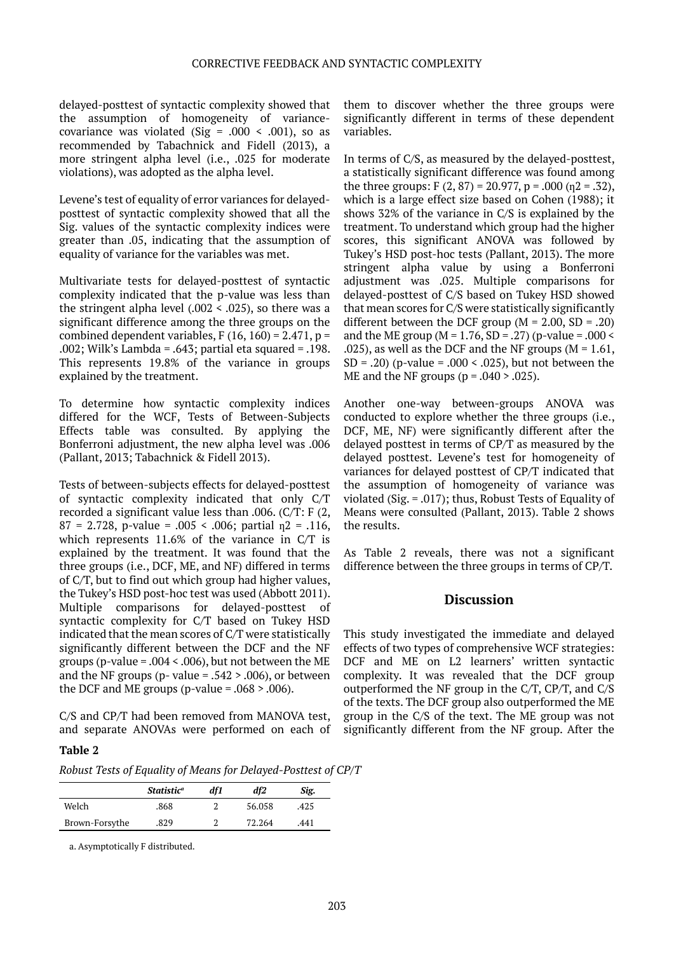delayed-posttest of syntactic complexity showed that the assumption of homogeneity of variancecovariance was violated (Sig = .000 < .001), so as recommended by Tabachnick and Fidell (2013), a more stringent alpha level (i.e., .025 for moderate violations), was adopted as the alpha level.

Levene's test of equality of error variances for delayedposttest of syntactic complexity showed that all the Sig. values of the syntactic complexity indices were greater than .05, indicating that the assumption of equality of variance for the variables was met.

Multivariate tests for delayed-posttest of syntactic complexity indicated that the p-value was less than the stringent alpha level  $(.002 \le .025)$ , so there was a significant difference among the three groups on the combined dependent variables,  $F(16, 160) = 2.471$ ,  $p =$ .002; Wilk's Lambda = .643; partial eta squared = .198. This represents 19.8% of the variance in groups explained by the treatment.

To determine how syntactic complexity indices differed for the WCF, Tests of Between-Subjects Effects table was consulted. By applying the Bonferroni adjustment, the new alpha level was .006 (Pallant, 2013; Tabachnick & Fidell 2013).

Tests of between-subjects effects for delayed-posttest of syntactic complexity indicated that only C/T recorded a significant value less than .006. (C/T: F (2,  $87 = 2.728$ , p-value = .005 < .006; partial  $n^2 = .116$ , which represents 11.6% of the variance in C/T is explained by the treatment. It was found that the three groups (i.e., DCF, ME, and NF) differed in terms of C/T, but to find out which group had higher values, the Tukey's HSD post-hoc test was used (Abbott 2011). Multiple comparisons for delayed-posttest of syntactic complexity for C/T based on Tukey HSD indicated that the mean scores of C/T were statistically significantly different between the DCF and the NF groups (p-value =  $.004 < .006$ ), but not between the ME and the NF groups (p- value  $= .542 \times .006$ ), or between the DCF and ME groups (p-value =  $.068 > .006$ ).

C/S and CP/T had been removed from MANOVA test, and separate ANOVAs were performed on each of

## **Table 2**

*Robust Tests of Equality of Means for Delayed-Posttest of CP/T*

|                | <i>Statistic</i> <sup>a</sup> | df1 | df2    | Sig. |
|----------------|-------------------------------|-----|--------|------|
| Welch          | .868                          |     | 56.058 | .425 |
| Brown-Forsythe | .829                          |     | 72.264 | .441 |

a. Asymptotically F distributed.

them to discover whether the three groups were significantly different in terms of these dependent variables.

In terms of C/S, as measured by the delayed-posttest, a statistically significant difference was found among the three groups: F  $(2, 87) = 20.977$ , p = .000 (n2 = .32), which is a large effect size based on Cohen (1988); it shows 32% of the variance in C/S is explained by the treatment. To understand which group had the higher scores, this significant ANOVA was followed by Tukey's HSD post-hoc tests (Pallant, 2013). The more stringent alpha value by using a Bonferroni adjustment was .025. Multiple comparisons for delayed-posttest of C/S based on Tukey HSD showed that mean scores for C/S were statistically significantly different between the DCF group ( $M = 2.00$ , SD = .20) and the ME group ( $M = 1.76$ , SD = .27) (p-value = .000 < .025), as well as the DCF and the NF groups ( $M = 1.61$ , SD = .20) (p-value = .000 < .025), but not between the ME and the NF groups ( $p = .040 > .025$ ).

Another one-way between-groups ANOVA was conducted to explore whether the three groups (i.e., DCF, ME, NF) were significantly different after the delayed posttest in terms of CP/T as measured by the delayed posttest. Levene's test for homogeneity of variances for delayed posttest of CP/T indicated that the assumption of homogeneity of variance was violated (Sig. = .017); thus, Robust Tests of Equality of Means were consulted (Pallant, 2013). Table 2 shows the results.

As Table 2 reveals, there was not a significant difference between the three groups in terms of CP/T.

## **Discussion**

This study investigated the immediate and delayed effects of two types of comprehensive WCF strategies: DCF and ME on L2 learners' written syntactic complexity. It was revealed that the DCF group outperformed the NF group in the C/T, CP/T, and C/S of the texts. The DCF group also outperformed the ME group in the C/S of the text. The ME group was not significantly different from the NF group. After the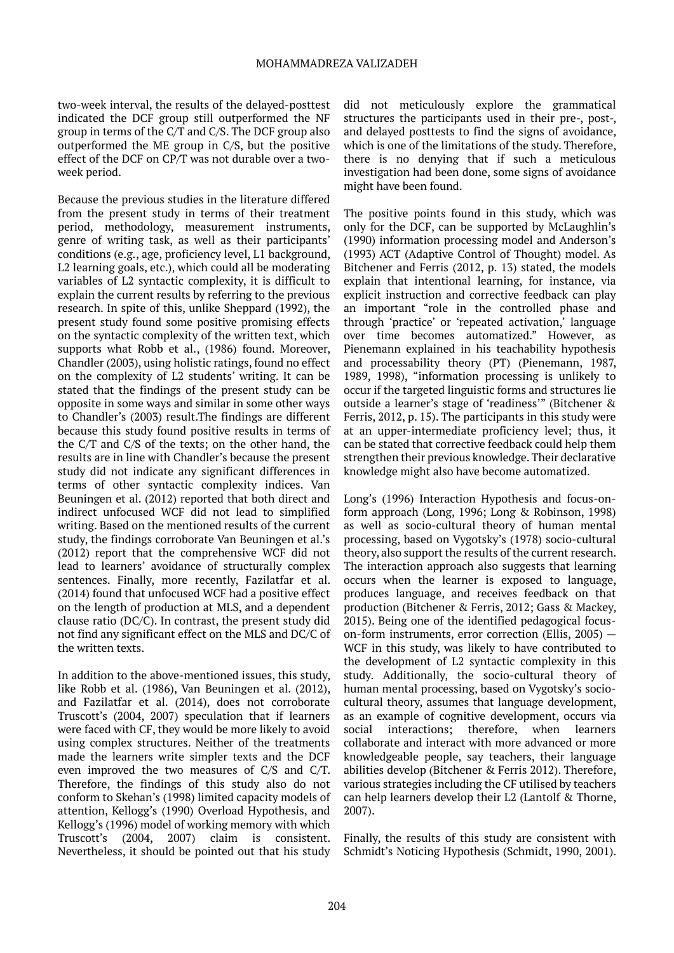two-week interval, the results of the delayed-posttest indicated the DCF group still outperformed the NF group in terms of the C/T and C/S. The DCF group also outperformed the ME group in C/S, but the positive effect of the DCF on CP/T was not durable over a twoweek period.

Because the previous studies in the literature differed from the present study in terms of their treatment period, methodology, measurement instruments, genre of writing task, as well as their participants' conditions (e.g., age, proficiency level, L1 background, L2 learning goals, etc.), which could all be moderating variables of L2 syntactic complexity, it is difficult to explain the current results by referring to the previous research. In spite of this, unlike Sheppard (1992), the present study found some positive promising effects on the syntactic complexity of the written text, which supports what Robb et al., (1986) found. Moreover, Chandler (2003), using holistic ratings, found no effect on the complexity of L2 students' writing. It can be stated that the findings of the present study can be opposite in some ways and similar in some other ways to Chandler's (2003) result.The findings are different because this study found positive results in terms of the C/T and C/S of the texts; on the other hand, the results are in line with Chandler's because the present study did not indicate any significant differences in terms of other syntactic complexity indices. Van Beuningen et al. (2012) reported that both direct and indirect unfocused WCF did not lead to simplified writing. Based on the mentioned results of the current study, the findings corroborate Van Beuningen et al.'s (2012) report that the comprehensive WCF did not lead to learners' avoidance of structurally complex sentences. Finally, more recently, Fazilatfar et al. (2014) found that unfocused WCF had a positive effect on the length of production at MLS, and a dependent clause ratio (DC/C). In contrast, the present study did not find any significant effect on the MLS and DC/C of the written texts.

In addition to the above-mentioned issues, this study, like Robb et al. (1986), Van Beuningen et al. (2012), and Fazilatfar et al. (2014), does not corroborate Truscott's (2004, 2007) speculation that if learners were faced with CF, they would be more likely to avoid using complex structures. Neither of the treatments made the learners write simpler texts and the DCF even improved the two measures of C/S and C/T. Therefore, the findings of this study also do not conform to Skehan's (1998) limited capacity models of attention, Kellogg's (1990) Overload Hypothesis, and Kellogg's (1996) model of working memory with which Truscott's (2004, 2007) claim is consistent. Nevertheless, it should be pointed out that his study

did not meticulously explore the grammatical structures the participants used in their pre-, post-, and delayed posttests to find the signs of avoidance, which is one of the limitations of the study. Therefore, there is no denying that if such a meticulous investigation had been done, some signs of avoidance might have been found.

The positive points found in this study, which was only for the DCF, can be supported by McLaughlin's (1990) information processing model and Anderson's (1993) ACT (Adaptive Control of Thought) model. As Bitchener and Ferris (2012, p. 13) stated, the models explain that intentional learning, for instance, via explicit instruction and corrective feedback can play an important "role in the controlled phase and through 'practice' or 'repeated activation,' language over time becomes automatized." However, as Pienemann explained in his teachability hypothesis and processability theory (PT) (Pienemann, 1987, 1989, 1998), "information processing is unlikely to occur if the targeted linguistic forms and structures lie outside a learner's stage of 'readiness'" (Bitchener & Ferris, 2012, p. 15). The participants in this study were at an upper-intermediate proficiency level; thus, it can be stated that corrective feedback could help them strengthen their previous knowledge. Their declarative knowledge might also have become automatized.

Long's (1996) Interaction Hypothesis and focus-onform approach (Long, 1996; Long & Robinson, 1998) as well as socio-cultural theory of human mental processing, based on Vygotsky's (1978) socio-cultural theory, also support the results of the current research. The interaction approach also suggests that learning occurs when the learner is exposed to language, produces language, and receives feedback on that production (Bitchener & Ferris, 2012; Gass & Mackey, 2015). Being one of the identified pedagogical focuson-form instruments, error correction (Ellis, 2005) — WCF in this study, was likely to have contributed to the development of L2 syntactic complexity in this study. Additionally, the socio-cultural theory of human mental processing, based on Vygotsky's sociocultural theory, assumes that language development, as an example of cognitive development, occurs via social interactions; therefore, when learners collaborate and interact with more advanced or more knowledgeable people, say teachers, their language abilities develop (Bitchener & Ferris 2012). Therefore, various strategies including the CF utilised by teachers can help learners develop their L2 (Lantolf & Thorne, 2007).

Finally, the results of this study are consistent with Schmidt's Noticing Hypothesis (Schmidt, 1990, 2001).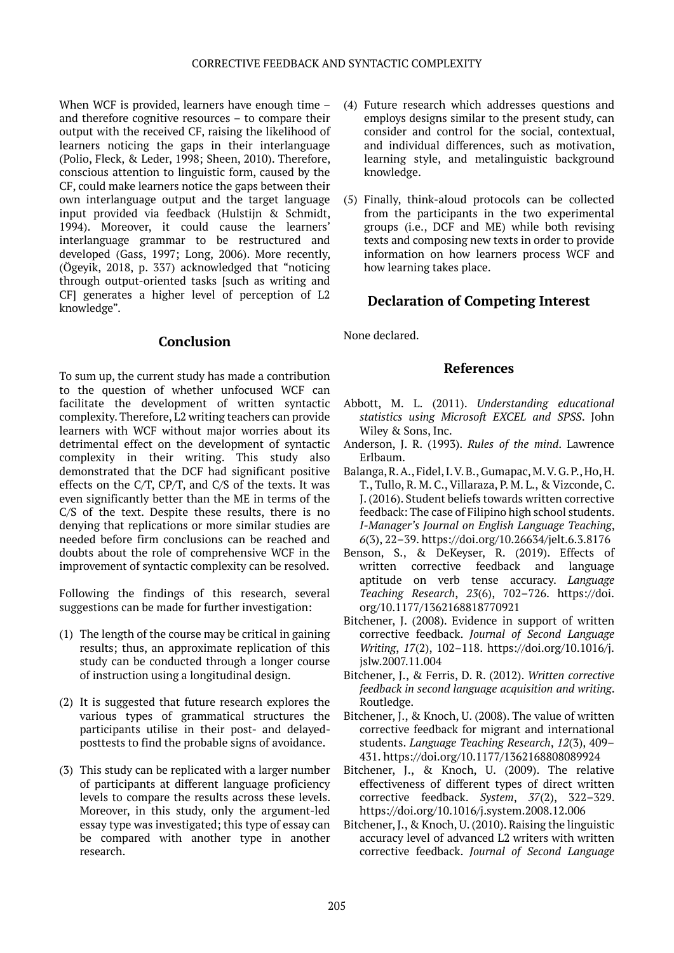When WCF is provided, learners have enough time and therefore cognitive resources – to compare their output with the received CF, raising the likelihood of learners noticing the gaps in their interlanguage (Polio, Fleck, & Leder, 1998; Sheen, 2010). Therefore, conscious attention to linguistic form, caused by the CF, could make learners notice the gaps between their own interlanguage output and the target language input provided via feedback (Hulstijn & Schmidt, 1994). Moreover, it could cause the learners' interlanguage grammar to be restructured and developed (Gass, 1997; Long, 2006). More recently, (Ögeyik, 2018, p. 337) acknowledged that "noticing through output-oriented tasks [such as writing and CF] generates a higher level of perception of L2 knowledge".

## **Conclusion**

To sum up, the current study has made a contribution to the question of whether unfocused WCF can facilitate the development of written syntactic complexity. Therefore, L2 writing teachers can provide learners with WCF without major worries about its detrimental effect on the development of syntactic complexity in their writing. This study also demonstrated that the DCF had significant positive effects on the C/T, CP/T, and C/S of the texts. It was even significantly better than the ME in terms of the C/S of the text. Despite these results, there is no denying that replications or more similar studies are needed before firm conclusions can be reached and doubts about the role of comprehensive WCF in the improvement of syntactic complexity can be resolved.

Following the findings of this research, several suggestions can be made for further investigation:

- (1) The length of the course may be critical in gaining results; thus, an approximate replication of this study can be conducted through a longer course of instruction using a longitudinal design.
- (2) It is suggested that future research explores the various types of grammatical structures the participants utilise in their post- and delayedposttests to find the probable signs of avoidance.
- (3) This study can be replicated with a larger number of participants at different language proficiency levels to compare the results across these levels. Moreover, in this study, only the argument-led essay type was investigated; this type of essay can be compared with another type in another research.
- (4) Future research which addresses questions and employs designs similar to the present study, can consider and control for the social, contextual, and individual differences, such as motivation, learning style, and metalinguistic background knowledge.
- (5) Finally, think-aloud protocols can be collected from the participants in the two experimental groups (i.e., DCF and ME) while both revising texts and composing new texts in order to provide information on how learners process WCF and how learning takes place.

# **Declaration of Competing Interest**

None declared.

## **References**

- Abbott, M. L. (2011). *Understanding educational statistics using Microsoft EXCEL and SPSS*. John Wiley & Sons, Inc.
- Anderson, J. R. (1993). *Rules of the mind*. Lawrence Erlbaum.
- Balanga, R. A., Fidel, I. V. B., Gumapac, M. V. G. P., Ho, H. T., Tullo, R. M. C., Villaraza, P. M. L., & Vizconde, C. J. (2016). Student beliefs towards written corrective feedback: The case of Filipino high school students. *I-Manager's Journal on English Language Teaching*, *6*(3), 22–39. https://doi.org/10.26634/jelt.6.3.8176
- Benson, S., & DeKeyser, R. (2019). Effects of written corrective feedback and language aptitude on verb tense accuracy. *Language Teaching Research*, *23*(6), 702–726. https://doi. org/10.1177/1362168818770921
- Bitchener, J. (2008). Evidence in support of written corrective feedback. *Journal of Second Language Writing*, *17*(2), 102–118. https://doi.org/10.1016/j. jslw.2007.11.004
- Bitchener, J., & Ferris, D. R. (2012). *Written corrective feedback in second language acquisition and writing*. Routledge.
- Bitchener, J., & Knoch, U. (2008). The value of written corrective feedback for migrant and international students. *Language Teaching Research*, *12*(3), 409– 431. https://doi.org/10.1177/1362168808089924
- Bitchener, J., & Knoch, U. (2009). The relative effectiveness of different types of direct written corrective feedback. *System*, *37*(2), 322–329. https://doi.org/10.1016/j.system.2008.12.006
- Bitchener, J., & Knoch, U. (2010). Raising the linguistic accuracy level of advanced L2 writers with written corrective feedback. *Journal of Second Language*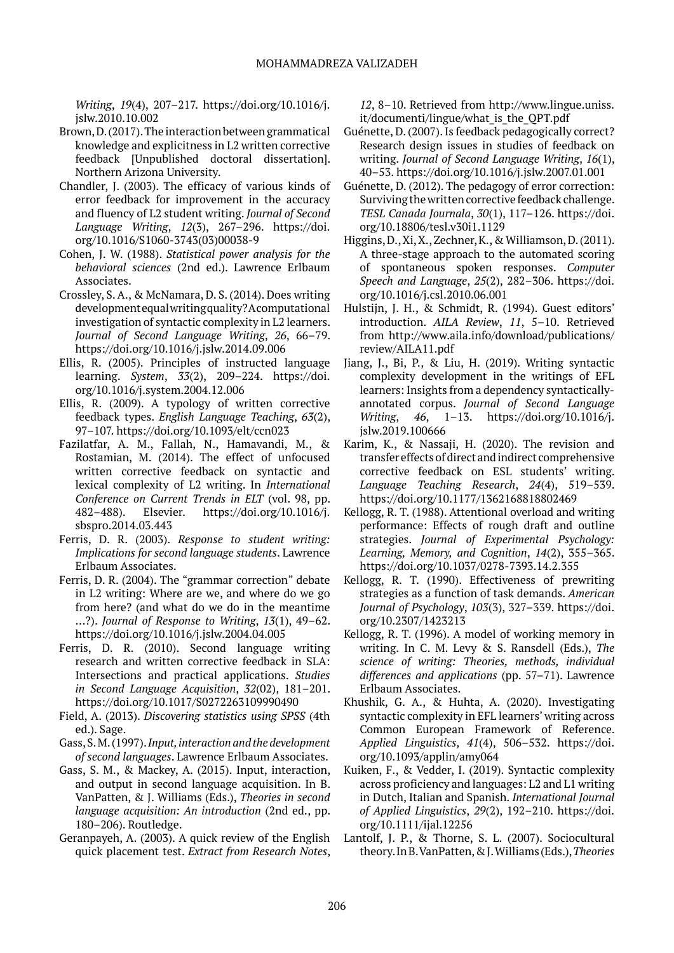*Writing*, *19*(4), 207–217. https://doi.org/10.1016/j. jslw.2010.10.002

- Brown, D. (2017). The interaction between grammatical knowledge and explicitness in L2 written corrective feedback [Unpublished doctoral dissertation]. Northern Arizona University.
- Chandler, J. (2003). The efficacy of various kinds of error feedback for improvement in the accuracy and fluency of L2 student writing. *Journal of Second Language Writing*, *12*(3), 267–296. https://doi. org/10.1016/S1060-3743(03)00038-9
- Cohen, J. W. (1988). *Statistical power analysis for the behavioral sciences* (2nd ed.). Lawrence Erlbaum Associates.
- Crossley, S. A., & McNamara, D. S. (2014). Does writing development equal writing quality? A computational investigation of syntactic complexity in L2 learners. *Journal of Second Language Writing*, *26*, 66–79. https://doi.org/10.1016/j.jslw.2014.09.006
- Ellis, R. (2005). Principles of instructed language learning. *System*, *33*(2), 209–224. https://doi. org/10.1016/j.system.2004.12.006
- Ellis, R. (2009). A typology of written corrective feedback types. *English Language Teaching*, *63*(2), 97–107. https://doi.org/10.1093/elt/ccn023
- Fazilatfar, A. M., Fallah, N., Hamavandi, M., & Rostamian, M. (2014). The effect of unfocused written corrective feedback on syntactic and lexical complexity of L2 writing. In *International Conference on Current Trends in ELT* (vol. 98, pp. 482–488). Elsevier. https://doi.org/10.1016/j. sbspro.2014.03.443
- Ferris, D. R. (2003). *Response to student writing: Implications for second language students*. Lawrence Erlbaum Associates.
- Ferris, D. R. (2004). The "grammar correction" debate in L2 writing: Where are we, and where do we go from here? (and what do we do in the meantime ...?). *Journal of Response to Writing*, *13*(1), 49–62. https://doi.org/10.1016/j.jslw.2004.04.005
- Ferris, D. R. (2010). Second language writing research and written corrective feedback in SLA: Intersections and practical applications. *Studies in Second Language Acquisition*, *32*(02), 181–201. https://doi.org/10.1017/S0272263109990490
- Field, A. (2013). *Discovering statistics using SPSS* (4th ed.). Sage.
- Gass, S. M. (1997). *Input, interaction and the development of second languages*. Lawrence Erlbaum Associates.
- Gass, S. M., & Mackey, A. (2015). Input, interaction, and output in second language acquisition. In B. VanPatten, & J. Williams (Eds.), *Theories in second language acquisition: An introduction* (2nd ed., pp. 180–206). Routledge.
- Geranpayeh, A. (2003). A quick review of the English quick placement test. *Extract from Research Notes*,

*12*, 8–10. Retrieved from http://www.lingue.uniss. it/documenti/lingue/what\_is\_the\_QPT.pdf

- Guénette, D. (2007). Is feedback pedagogically correct? Research design issues in studies of feedback on writing. *Journal of Second Language Writing*, *16*(1), 40–53. https://doi.org/10.1016/j.jslw.2007.01.001
- Guénette, D. (2012). The pedagogy of error correction: Surviving the written corrective feedback challenge. *TESL Canada Journala*, *30*(1), 117–126. https://doi. org/10.18806/tesl.v30i1.1129
- Higgins, D., Xi, X., Zechner, K., & Williamson, D. (2011). A three-stage approach to the automated scoring of spontaneous spoken responses. *Computer Speech and Language*, *25*(2), 282–306. https://doi. org/10.1016/j.csl.2010.06.001
- Hulstijn, J. H., & Schmidt, R. (1994). Guest editors' introduction. *AILA Review*, *11*, 5–10. Retrieved from http://www.aila.info/download/publications/ review/AILA11.pdf
- Jiang, J., Bi, P., & Liu, H. (2019). Writing syntactic complexity development in the writings of EFL learners: Insights from a dependency syntacticallyannotated corpus. *Journal of Second Language Writing*, *46*, 1–13. https://doi.org/10.1016/j. jslw.2019.100666
- Karim, K., & Nassaji, H. (2020). The revision and transfer effects of direct and indirect comprehensive corrective feedback on ESL students' writing. *Language Teaching Research*, *24*(4), 519–539. https://doi.org/10.1177/1362168818802469
- Kellogg, R. T. (1988). Attentional overload and writing performance: Effects of rough draft and outline strategies. *Journal of Experimental Psychology: Learning, Memory, and Cognition*, *14*(2), 355–365. https://doi.org/10.1037/0278-7393.14.2.355
- Kellogg, R. T. (1990). Effectiveness of prewriting strategies as a function of task demands. *American Journal of Psychology*, *103*(3), 327–339. https://doi. org/10.2307/1423213
- Kellogg, R. T. (1996). A model of working memory in writing. In C. M. Levy & S. Ransdell (Eds.), *The science of writing: Theories, methods, individual differences and applications* (pp. 57–71). Lawrence Erlbaum Associates.
- Khushik, G. A., & Huhta, A. (2020). Investigating syntactic complexity in EFL learners' writing across Common European Framework of Reference. *Applied Linguistics*, *41*(4), 506–532. https://doi. org/10.1093/applin/amy064
- Kuiken, F., & Vedder, I. (2019). Syntactic complexity across proficiency and languages: L2 and L1 writing in Dutch, Italian and Spanish. *International Journal of Applied Linguistics*, *29*(2), 192–210. https://doi. org/10.1111/ijal.12256
- Lantolf, J. P., & Thorne, S. L. (2007). Sociocultural theory. In B. VanPatten, & J. Williams (Eds.), *Theories*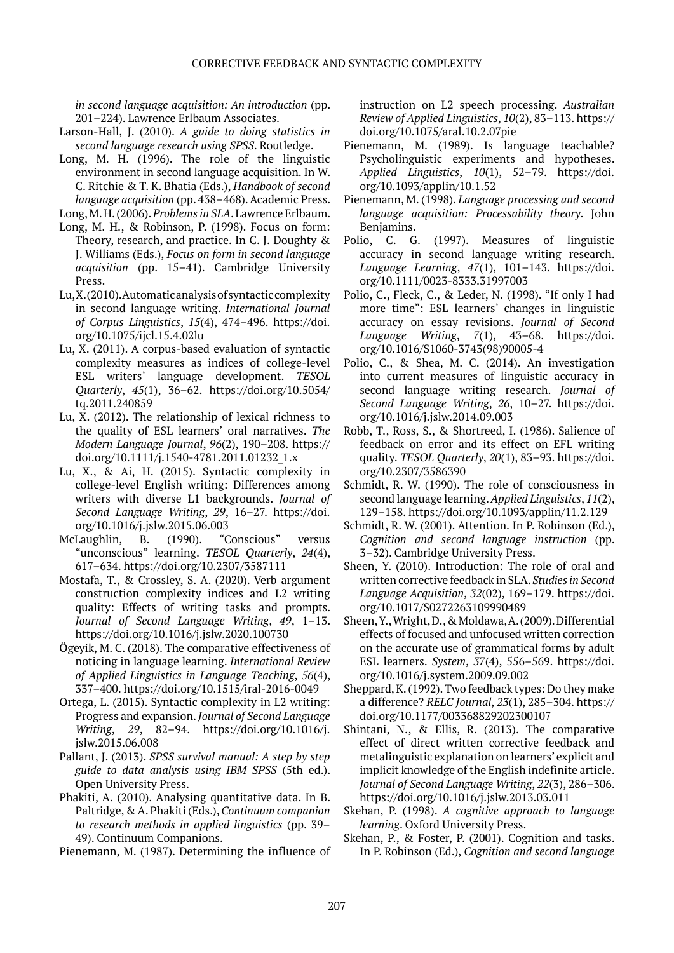*in second language acquisition: An introduction* (pp. 201–224). Lawrence Erlbaum Associates.

- Larson-Hall, J. (2010). *A guide to doing statistics in second language research using SPSS*. Routledge.
- Long, M. H. (1996). The role of the linguistic environment in second language acquisition. In W. C. Ritchie & T. K. Bhatia (Eds.), *Handbook of second language acquisition* (pp. 438–468). Academic Press.

Long, M. H. (2006). *Problems in SLA*. Lawrence Erlbaum.

- Long, M. H., & Robinson, P. (1998). Focus on form: Theory, research, and practice. In C. J. Doughty & J. Williams (Eds.), *Focus on form in second language acquisition* (pp. 15–41). Cambridge University Press.
- Lu, X. (2010). Automatic analysis of syntactic complexity in second language writing. *International Journal of Corpus Linguistics*, *15*(4), 474–496. https://doi. org/10.1075/ijcl.15.4.02lu
- Lu, X. (2011). A corpus-based evaluation of syntactic complexity measures as indices of college-level ESL writers' language development. *TESOL Quarterly*, *45*(1), 36–62. https://doi.org/10.5054/ tq.2011.240859
- Lu, X. (2012). The relationship of lexical richness to the quality of ESL learners' oral narratives. *The Modern Language Journal*, *96*(2), 190–208. https:// doi.org/10.1111/j.1540-4781.2011.01232\_1.x
- Lu, X., & Ai, H. (2015). Syntactic complexity in college-level English writing: Differences among writers with diverse L1 backgrounds. *Journal of Second Language Writing*, *29*, 16–27. https://doi. org/10.1016/j.jslw.2015.06.003
- McLaughlin, B. (1990). "Conscious" versus "unconscious" learning. *TESOL Quarterly*, *24*(4), 617–634. https://doi.org/10.2307/3587111
- Mostafa, T., & Crossley, S. A. (2020). Verb argument construction complexity indices and L2 writing quality: Effects of writing tasks and prompts. *Journal of Second Language Writing*, *49*, 1–13. https://doi.org/10.1016/j.jslw.2020.100730
- Ögeyik, M. C. (2018). The comparative effectiveness of noticing in language learning. *International Review of Applied Linguistics in Language Teaching*, *56*(4), 337–400. https://doi.org/10.1515/iral-2016-0049
- Ortega, L. (2015). Syntactic complexity in L2 writing: Progress and expansion. *Journal of Second Language Writing*, *29*, 82–94. https://doi.org/10.1016/j. jslw.2015.06.008
- Pallant, J. (2013). *SPSS survival manual: A step by step guide to data analysis using IBM SPSS* (5th ed.). Open University Press.
- Phakiti, A. (2010). Analysing quantitative data. In B. Paltridge, & A. Phakiti (Eds.), *Continuum companion to research methods in applied linguistics* (pp. 39– 49). Continuum Companions.

Pienemann, M. (1987). Determining the influence of

instruction on L2 speech processing. *Australian Review of Applied Linguistics*, *10*(2), 83–113. https:// doi.org/10.1075/aral.10.2.07pie

- Pienemann, M. (1989). Is language teachable? Psycholinguistic experiments and hypotheses. *Applied Linguistics*, *10*(1), 52–79. https://doi. org/10.1093/applin/10.1.52
- Pienemann, M. (1998). *Language processing and second language acquisition: Processability theory*. John Benjamins.
- Polio, C. G. (1997). Measures of linguistic accuracy in second language writing research. *Language Learning*, *47*(1), 101–143. https://doi. org/10.1111/0023-8333.31997003
- Polio, C., Fleck, C., & Leder, N. (1998). "If only I had more time": ESL learners' changes in linguistic accuracy on essay revisions. *Journal of Second Language Writing*, *7*(1), 43–68. https://doi. org/10.1016/S1060-3743(98)90005-4
- Polio, C., & Shea, M. C. (2014). An investigation into current measures of linguistic accuracy in second language writing research. *Journal of Second Language Writing*, *26*, 10–27. https://doi. org/10.1016/j.jslw.2014.09.003
- Robb, T., Ross, S., & Shortreed, I. (1986). Salience of feedback on error and its effect on EFL writing quality. *TESOL Quarterly*, *20*(1), 83–93. https://doi. org/10.2307/3586390
- Schmidt, R. W. (1990). The role of consciousness in second language learning. *Applied Linguistics*, *11*(2), 129–158. https://doi.org/10.1093/applin/11.2.129
- Schmidt, R. W. (2001). Attention. In P. Robinson (Ed.), *Cognition and second language instruction* (pp. 3–32). Cambridge University Press.
- Sheen, Y. (2010). Introduction: The role of oral and written corrective feedback in SLA. *Studies in Second Language Acquisition*, *32*(02), 169–179. https://doi. org/10.1017/S0272263109990489
- Sheen, Y., Wright, D., & Moldawa, A. (2009). Differential effects of focused and unfocused written correction on the accurate use of grammatical forms by adult ESL learners. *System*, *37*(4), 556–569. https://doi. org/10.1016/j.system.2009.09.002
- Sheppard, K. (1992). Two feedback types: Do they make a difference? *RELC Journal*, *23*(1), 285–304. https:// doi.org/10.1177/003368829202300107
- Shintani, N., & Ellis, R. (2013). The comparative effect of direct written corrective feedback and metalinguistic explanation on learners' explicit and implicit knowledge of the English indefinite article. *Journal of Second Language Writing*, *22*(3), 286–306. https://doi.org/10.1016/j.jslw.2013.03.011
- Skehan, P. (1998). *A cognitive approach to language learning*. Oxford University Press.
- Skehan, P., & Foster, P. (2001). Cognition and tasks. In P. Robinson (Ed.), *Cognition and second language*